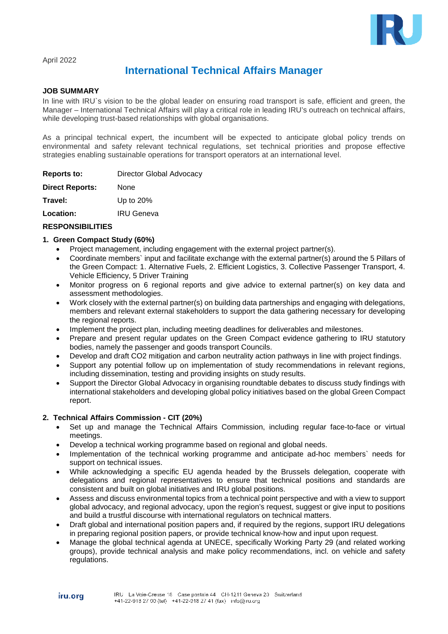

April 2022

# **International Technical Affairs Manager**

#### **JOB SUMMARY**

In line with IRU's vision to be the global leader on ensuring road transport is safe, efficient and green, the Manager – International Technical Affairs will play a critical role in leading IRU's outreach on technical affairs, while developing trust-based relationships with global organisations.

As a principal technical expert, the incumbent will be expected to anticipate global policy trends on environmental and safety relevant technical regulations, set technical priorities and propose effective strategies enabling sustainable operations for transport operators at an international level.

| Reports to:            | Director Global Advocacy |
|------------------------|--------------------------|
| <b>Direct Reports:</b> | None                     |
| Travel:                | Up to 20%                |
| Location:              | <b>IRU Geneva</b>        |
|                        |                          |

### **RESPONSIBILITIES**

#### **1. Green Compact Study (60%)**

- Project management, including engagement with the external project partner(s).
- Coordinate members` input and facilitate exchange with the external partner(s) around the 5 Pillars of the Green Compact: 1. Alternative Fuels, 2. Efficient Logistics, 3. Collective Passenger Transport, 4. Vehicle Efficiency, 5 Driver Training
- Monitor progress on 6 regional reports and give advice to external partner(s) on key data and assessment methodologies.
- Work closely with the external partner(s) on building data partnerships and engaging with delegations, members and relevant external stakeholders to support the data gathering necessary for developing the regional reports.
- Implement the project plan, including meeting deadlines for deliverables and milestones.
- Prepare and present regular updates on the Green Compact evidence gathering to IRU statutory bodies, namely the passenger and goods transport Councils.
- Develop and draft CO2 mitigation and carbon neutrality action pathways in line with project findings.
- Support any potential follow up on implementation of study recommendations in relevant regions, including dissemination, testing and providing insights on study results.
- Support the Director Global Advocacy in organising roundtable debates to discuss study findings with international stakeholders and developing global policy initiatives based on the global Green Compact report.

# **2. Technical Affairs Commission - CIT (20%)**

- Set up and manage the Technical Affairs Commission, including regular face-to-face or virtual meetings.
- Develop a technical working programme based on regional and global needs.
- Implementation of the technical working programme and anticipate ad-hoc members` needs for support on technical issues.
- While acknowledging a specific EU agenda headed by the Brussels delegation, cooperate with delegations and regional representatives to ensure that technical positions and standards are consistent and built on global initiatives and IRU global positions.
- Assess and discuss environmental topics from a technical point perspective and with a view to support global advocacy, and regional advocacy, upon the region's request, suggest or give input to positions and build a trustful discourse with international regulators on technical matters.
- Draft global and international position papers and, if required by the regions, support IRU delegations in preparing regional position papers, or provide technical know-how and input upon request.
- Manage the global technical agenda at UNECE, specifically Working Party 29 (and related working groups), provide technical analysis and make policy recommendations, incl. on vehicle and safety regulations.